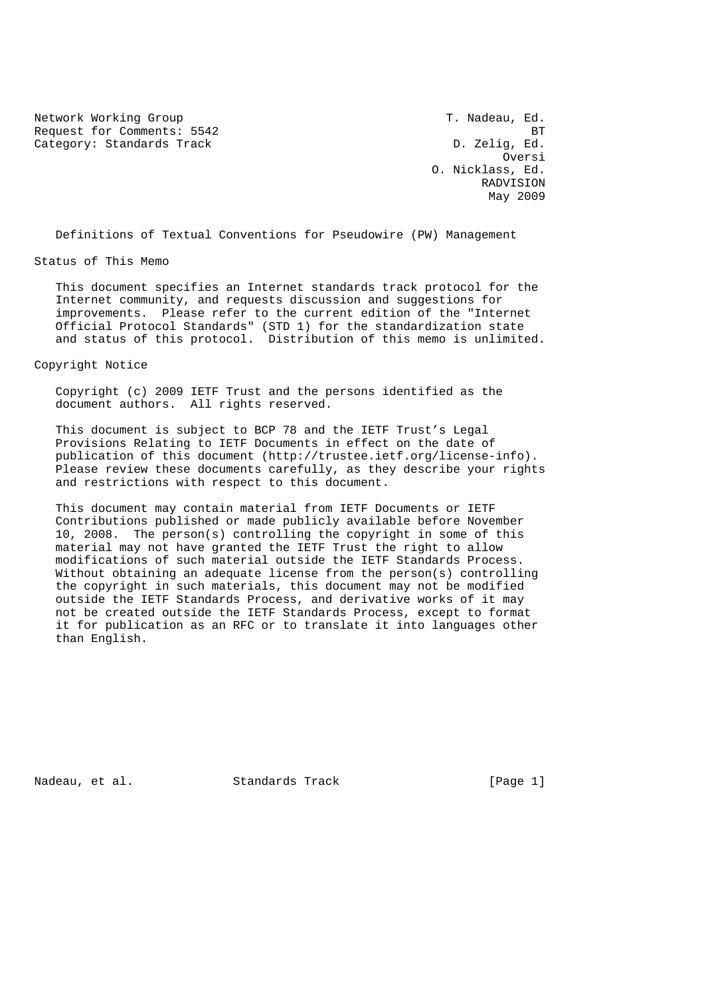Network Working Group T. Nadeau, Ed. Request for Comments: 5542 BT Category: Standards Track D. Zelig, Ed.

**Oversity of the Contract of the Contract of the Contract of the Contract of the Contract of the Contract of the Contract of the Contract of the Contract of the Contract of the Contract of the Contract of the Contract of t**  O. Nicklass, Ed. RADVISION May 2009

Definitions of Textual Conventions for Pseudowire (PW) Management

Status of This Memo

 This document specifies an Internet standards track protocol for the Internet community, and requests discussion and suggestions for improvements. Please refer to the current edition of the "Internet Official Protocol Standards" (STD 1) for the standardization state and status of this protocol. Distribution of this memo is unlimited.

### Copyright Notice

 Copyright (c) 2009 IETF Trust and the persons identified as the document authors. All rights reserved.

 This document is subject to BCP 78 and the IETF Trust's Legal Provisions Relating to IETF Documents in effect on the date of publication of this document (http://trustee.ietf.org/license-info). Please review these documents carefully, as they describe your rights and restrictions with respect to this document.

 This document may contain material from IETF Documents or IETF Contributions published or made publicly available before November 10, 2008. The person(s) controlling the copyright in some of this material may not have granted the IETF Trust the right to allow modifications of such material outside the IETF Standards Process. Without obtaining an adequate license from the person(s) controlling the copyright in such materials, this document may not be modified outside the IETF Standards Process, and derivative works of it may not be created outside the IETF Standards Process, except to format it for publication as an RFC or to translate it into languages other than English.

Nadeau, et al. Standards Track [Page 1]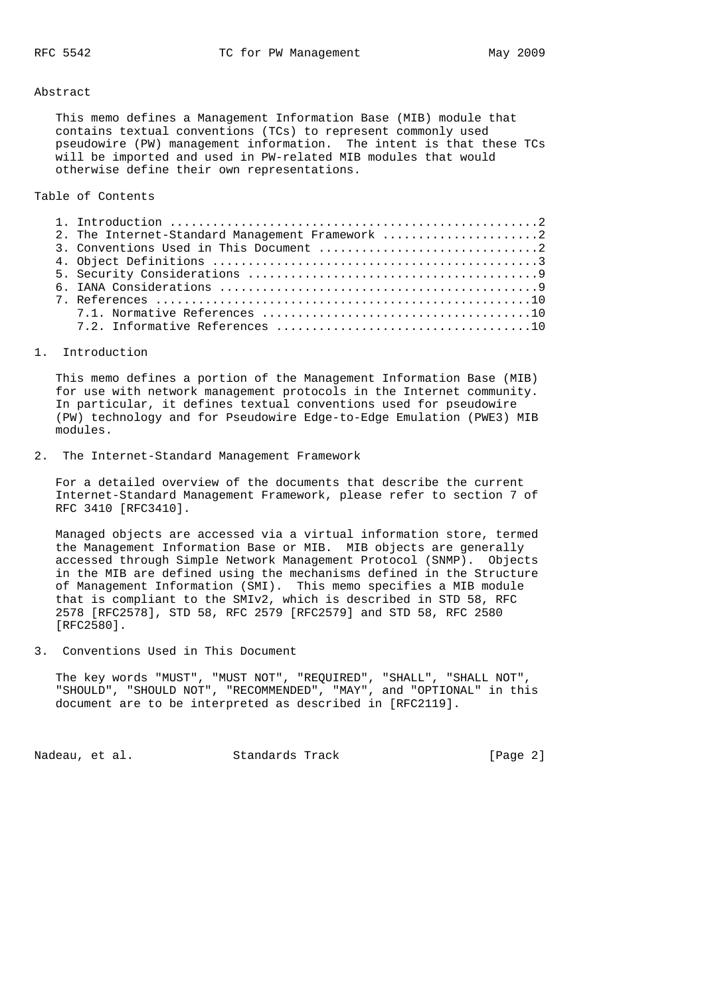#### Abstract

 This memo defines a Management Information Base (MIB) module that contains textual conventions (TCs) to represent commonly used pseudowire (PW) management information. The intent is that these TCs will be imported and used in PW-related MIB modules that would otherwise define their own representations.

## Table of Contents

|  | 2. The Internet-Standard Management Framework 2 |  |
|--|-------------------------------------------------|--|
|  |                                                 |  |
|  |                                                 |  |
|  |                                                 |  |
|  |                                                 |  |
|  |                                                 |  |
|  |                                                 |  |
|  |                                                 |  |

### 1. Introduction

 This memo defines a portion of the Management Information Base (MIB) for use with network management protocols in the Internet community. In particular, it defines textual conventions used for pseudowire (PW) technology and for Pseudowire Edge-to-Edge Emulation (PWE3) MIB modules.

2. The Internet-Standard Management Framework

 For a detailed overview of the documents that describe the current Internet-Standard Management Framework, please refer to section 7 of RFC 3410 [RFC3410].

 Managed objects are accessed via a virtual information store, termed the Management Information Base or MIB. MIB objects are generally accessed through Simple Network Management Protocol (SNMP). Objects in the MIB are defined using the mechanisms defined in the Structure of Management Information (SMI). This memo specifies a MIB module that is compliant to the SMIv2, which is described in STD 58, RFC 2578 [RFC2578], STD 58, RFC 2579 [RFC2579] and STD 58, RFC 2580 [RFC2580].

3. Conventions Used in This Document

 The key words "MUST", "MUST NOT", "REQUIRED", "SHALL", "SHALL NOT", "SHOULD", "SHOULD NOT", "RECOMMENDED", "MAY", and "OPTIONAL" in this document are to be interpreted as described in [RFC2119].

Nadeau, et al. Standards Track [Page 2]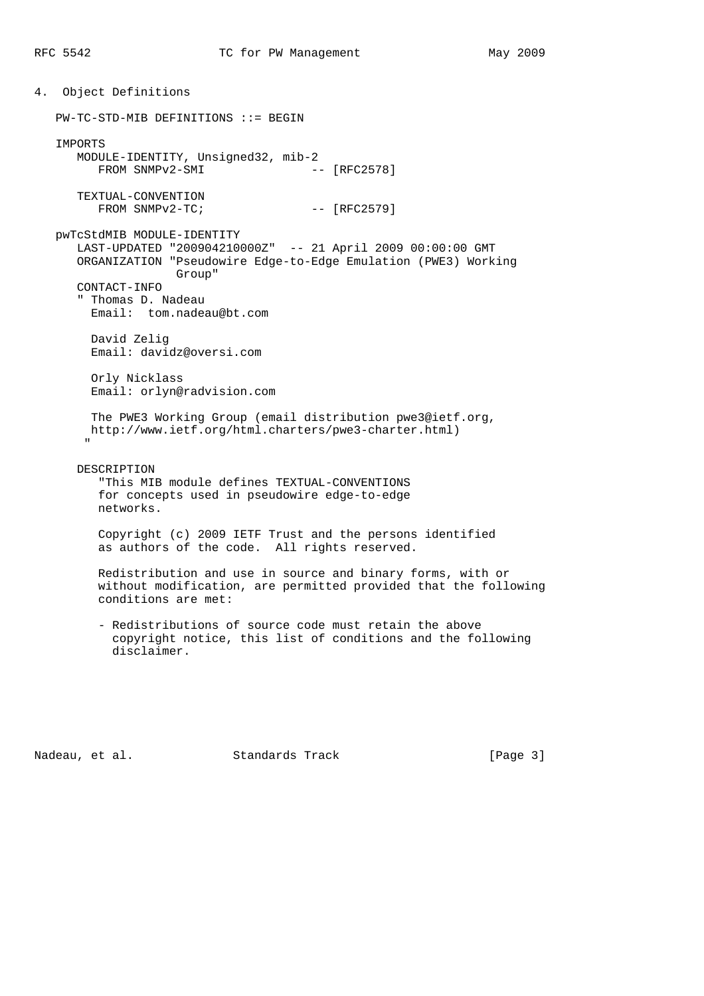4. Object Definitions PW-TC-STD-MIB DEFINITIONS ::= BEGIN IMPORTS MODULE-IDENTITY, Unsigned32, mib-2 FROM SNMPv2-SMI -- [RFC2578] TEXTUAL-CONVENTION  $FROM$   $SNNPv2-TC$ ;  $[RFC2579]$  pwTcStdMIB MODULE-IDENTITY LAST-UPDATED "200904210000Z" -- 21 April 2009 00:00:00 GMT ORGANIZATION "Pseudowire Edge-to-Edge Emulation (PWE3) Working Group" CONTACT-INFO " Thomas D. Nadeau Email: tom.nadeau@bt.com David Zelig Email: davidz@oversi.com Orly Nicklass Email: orlyn@radvision.com The PWE3 Working Group (email distribution pwe3@ietf.org, http://www.ietf.org/html.charters/pwe3-charter.html) " DESCRIPTION "This MIB module defines TEXTUAL-CONVENTIONS for concepts used in pseudowire edge-to-edge networks. Copyright (c) 2009 IETF Trust and the persons identified as authors of the code. All rights reserved. Redistribution and use in source and binary forms, with or without modification, are permitted provided that the following conditions are met: - Redistributions of source code must retain the above

 copyright notice, this list of conditions and the following disclaimer.

Nadeau, et al. Standards Track [Page 3]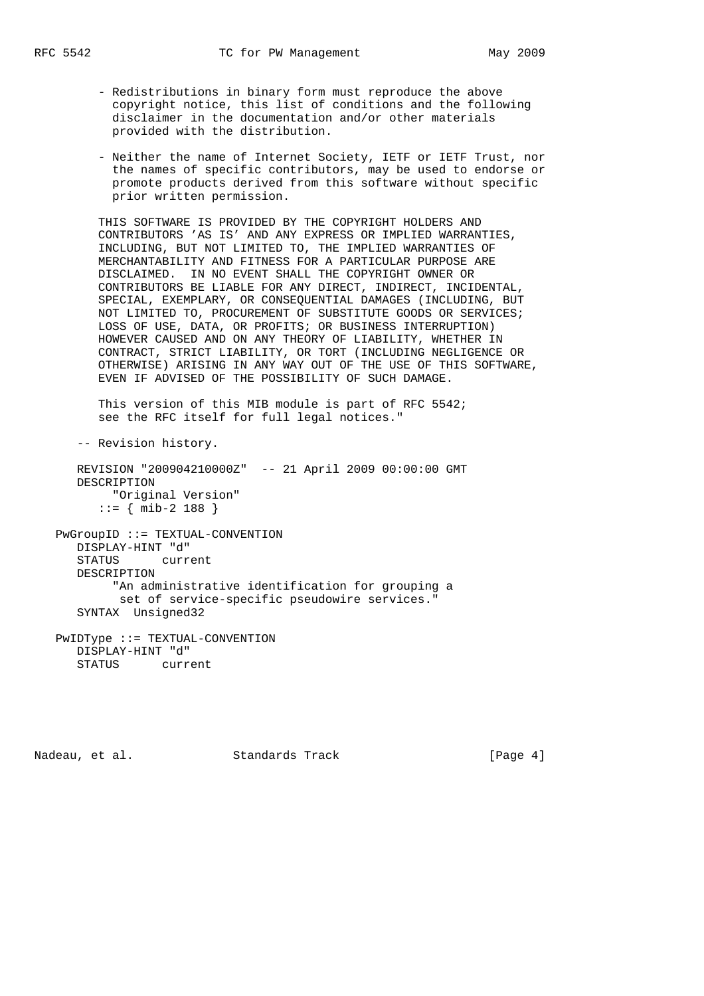- Redistributions in binary form must reproduce the above copyright notice, this list of conditions and the following disclaimer in the documentation and/or other materials provided with the distribution.
- Neither the name of Internet Society, IETF or IETF Trust, nor the names of specific contributors, may be used to endorse or promote products derived from this software without specific prior written permission.

 THIS SOFTWARE IS PROVIDED BY THE COPYRIGHT HOLDERS AND CONTRIBUTORS 'AS IS' AND ANY EXPRESS OR IMPLIED WARRANTIES, INCLUDING, BUT NOT LIMITED TO, THE IMPLIED WARRANTIES OF MERCHANTABILITY AND FITNESS FOR A PARTICULAR PURPOSE ARE DISCLAIMED. IN NO EVENT SHALL THE COPYRIGHT OWNER OR CONTRIBUTORS BE LIABLE FOR ANY DIRECT, INDIRECT, INCIDENTAL, SPECIAL, EXEMPLARY, OR CONSEQUENTIAL DAMAGES (INCLUDING, BUT NOT LIMITED TO, PROCUREMENT OF SUBSTITUTE GOODS OR SERVICES; LOSS OF USE, DATA, OR PROFITS; OR BUSINESS INTERRUPTION) HOWEVER CAUSED AND ON ANY THEORY OF LIABILITY, WHETHER IN CONTRACT, STRICT LIABILITY, OR TORT (INCLUDING NEGLIGENCE OR OTHERWISE) ARISING IN ANY WAY OUT OF THE USE OF THIS SOFTWARE, EVEN IF ADVISED OF THE POSSIBILITY OF SUCH DAMAGE.

 This version of this MIB module is part of RFC 5542; see the RFC itself for full legal notices."

-- Revision history.

 REVISION "200904210000Z" -- 21 April 2009 00:00:00 GMT DESCRIPTION "Original Version" ::= { mib-2 188 }

 PwGroupID ::= TEXTUAL-CONVENTION DISPLAY-HINT "d" STATUS current DESCRIPTION "An administrative identification for grouping a set of service-specific pseudowire services." SYNTAX Unsigned32 PwIDType ::= TEXTUAL-CONVENTION

 DISPLAY-HINT "d" STATUS current

Nadeau, et al. Standards Track [Page 4]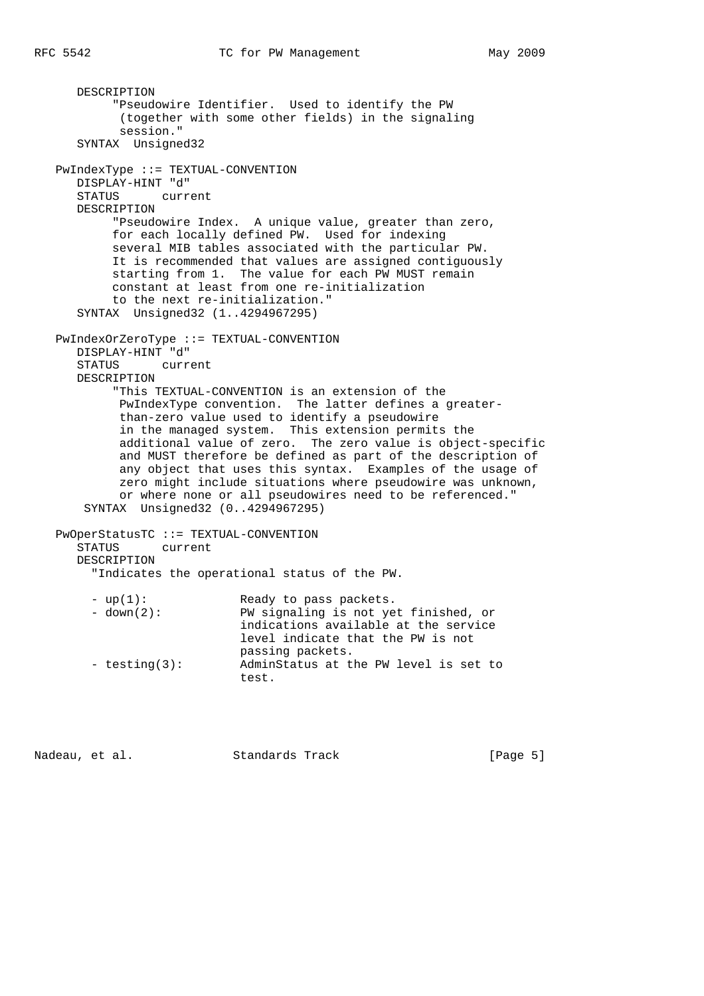```
 DESCRIPTION
        "Pseudowire Identifier. Used to identify the PW
        (together with some other fields) in the signaling
        session."
   SYNTAX Unsigned32
PwIndexType ::= TEXTUAL-CONVENTION
  DISPLAY-HINT "d"
   STATUS current
   DESCRIPTION
        "Pseudowire Index. A unique value, greater than zero,
        for each locally defined PW. Used for indexing
        several MIB tables associated with the particular PW.
        It is recommended that values are assigned contiguously
        starting from 1. The value for each PW MUST remain
        constant at least from one re-initialization
        to the next re-initialization."
   SYNTAX Unsigned32 (1..4294967295)
PwIndexOrZeroType ::= TEXTUAL-CONVENTION
   DISPLAY-HINT "d"
   STATUS current
   DESCRIPTION
        "This TEXTUAL-CONVENTION is an extension of the
         PwIndexType convention. The latter defines a greater-
         than-zero value used to identify a pseudowire
         in the managed system. This extension permits the
        additional value of zero. The zero value is object-specific
        and MUST therefore be defined as part of the description of
        any object that uses this syntax. Examples of the usage of
        zero might include situations where pseudowire was unknown,
        or where none or all pseudowires need to be referenced."
   SYNTAX Unsigned32 (0..4294967295)
PwOperStatusTC ::= TEXTUAL-CONVENTION
   STATUS current
   DESCRIPTION
     "Indicates the operational status of the PW.
    - up(1): Ready to pass packets.
     - down(2): PW signaling is not yet finished, or
                         indications available at the service
                         level indicate that the PW is not
                         passing packets.
     - testing(3): AdminStatus at the PW level is set to
                         test.
```
Nadeau, et al. Standards Track [Page 5]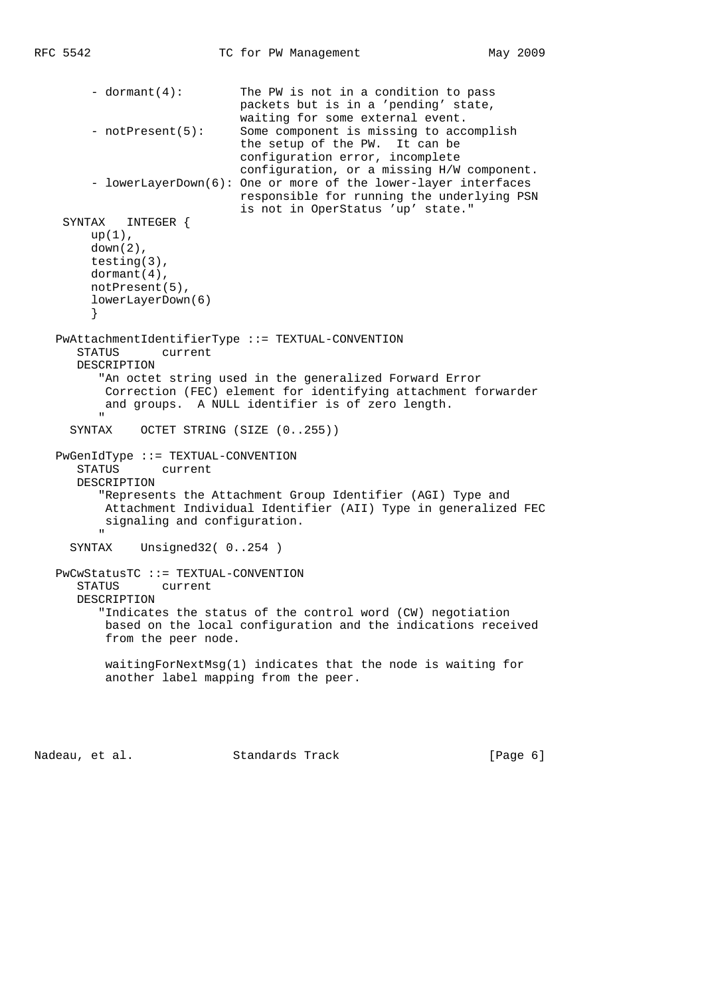```
 - dormant(4): The PW is not in a condition to pass
                            packets but is in a 'pending' state,
                            waiting for some external event.
       - notPresent(5): Some component is missing to accomplish
                            the setup of the PW. It can be
                            configuration error, incomplete
                            configuration, or a missing H/W component.
       - lowerLayerDown(6): One or more of the lower-layer interfaces
                            responsible for running the underlying PSN
                            is not in OperStatus 'up' state."
   SYNTAX INTEGER {
      up(1),
       down(2),
       testing(3),
       dormant(4),
       notPresent(5),
       lowerLayerDown(6)
       }
  PwAttachmentIdentifierType ::= TEXTUAL-CONVENTION
     STATUS current
     DESCRIPTION
        "An octet string used in the generalized Forward Error
         Correction (FEC) element for identifying attachment forwarder
         and groups. A NULL identifier is of zero length.
"
    SYNTAX OCTET STRING (SIZE (0..255))
  PwGenIdType ::= TEXTUAL-CONVENTION
     STATUS current
     DESCRIPTION
        "Represents the Attachment Group Identifier (AGI) Type and
         Attachment Individual Identifier (AII) Type in generalized FEC
       signaling and configuration.
"
    SYNTAX Unsigned32( 0..254 )
  PwCwStatusTC ::= TEXTUAL-CONVENTION
     STATUS current
     DESCRIPTION
        "Indicates the status of the control word (CW) negotiation
         based on the local configuration and the indications received
         from the peer node.
         waitingForNextMsg(1) indicates that the node is waiting for
         another label mapping from the peer.
```
Nadeau, et al. Standards Track (Page 6)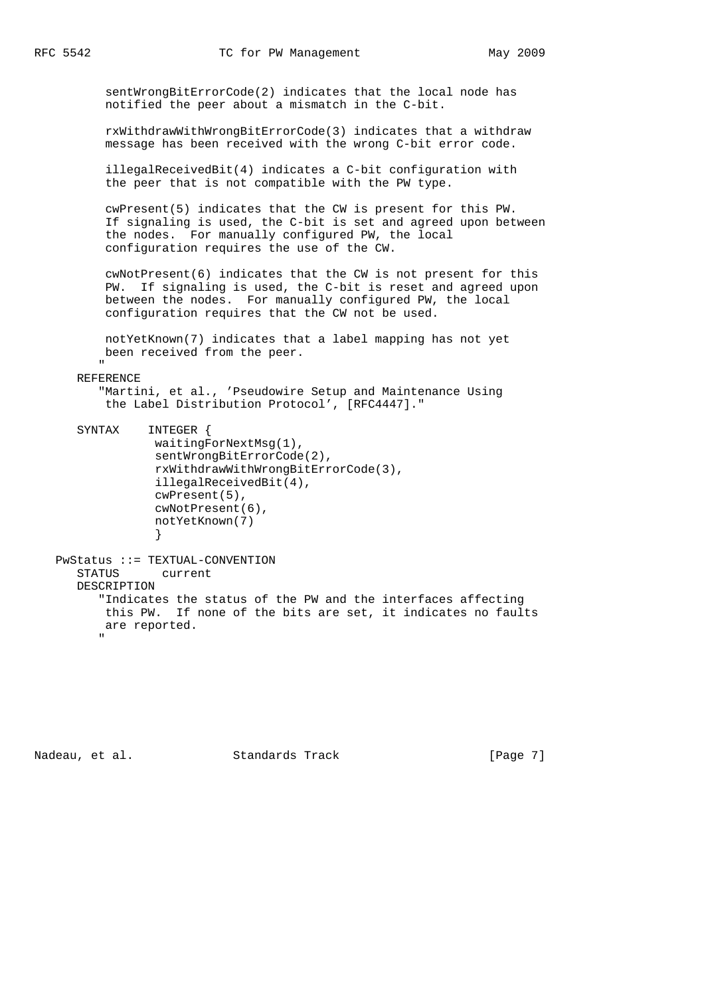sentWrongBitErrorCode(2) indicates that the local node has notified the peer about a mismatch in the C-bit.

 rxWithdrawWithWrongBitErrorCode(3) indicates that a withdraw message has been received with the wrong C-bit error code.

 illegalReceivedBit(4) indicates a C-bit configuration with the peer that is not compatible with the PW type.

 cwPresent(5) indicates that the CW is present for this PW. If signaling is used, the C-bit is set and agreed upon between the nodes. For manually configured PW, the local configuration requires the use of the CW.

 cwNotPresent(6) indicates that the CW is not present for this PW. If signaling is used, the C-bit is reset and agreed upon between the nodes. For manually configured PW, the local configuration requires that the CW not be used.

 notYetKnown(7) indicates that a label mapping has not yet been received from the peer.

 " REFERENCE

> "Martini, et al., 'Pseudowire Setup and Maintenance Using the Label Distribution Protocol', [RFC4447]."

 SYNTAX INTEGER { waitingForNextMsg(1), sentWrongBitErrorCode(2), rxWithdrawWithWrongBitErrorCode(3), illegalReceivedBit(4), cwPresent(5), cwNotPresent(6), notYetKnown(7) }

 PwStatus ::= TEXTUAL-CONVENTION STATUS current DESCRIPTION "Indicates the status of the PW and the interfaces affecting this PW. If none of the bits are set, it indicates no faults are reported. "

Nadeau, et al. Standards Track [Page 7]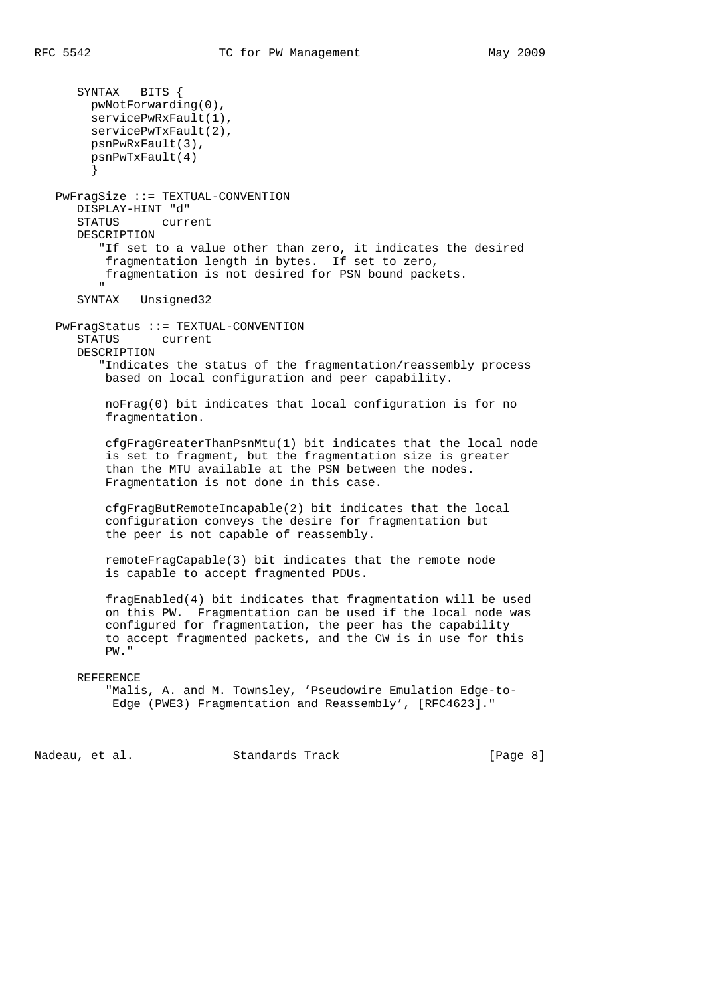```
 SYNTAX BITS {
       pwNotForwarding(0),
       servicePwRxFault(1),
       servicePwTxFault(2),
       psnPwRxFault(3),
       psnPwTxFault(4)
       }
  PwFragSize ::= TEXTUAL-CONVENTION
     DISPLAY-HINT "d"
     STATUS current
     DESCRIPTION
        "If set to a value other than zero, it indicates the desired
         fragmentation length in bytes. If set to zero,
         fragmentation is not desired for PSN bound packets.
"
     SYNTAX Unsigned32
  PwFragStatus ::= TEXTUAL-CONVENTION
     STATUS current
     DESCRIPTION
         "Indicates the status of the fragmentation/reassembly process
         based on local configuration and peer capability.
         noFrag(0) bit indicates that local configuration is for no
         fragmentation.
         cfgFragGreaterThanPsnMtu(1) bit indicates that the local node
         is set to fragment, but the fragmentation size is greater
         than the MTU available at the PSN between the nodes.
         Fragmentation is not done in this case.
         cfgFragButRemoteIncapable(2) bit indicates that the local
         configuration conveys the desire for fragmentation but
         the peer is not capable of reassembly.
```
 remoteFragCapable(3) bit indicates that the remote node is capable to accept fragmented PDUs.

 fragEnabled(4) bit indicates that fragmentation will be used on this PW. Fragmentation can be used if the local node was configured for fragmentation, the peer has the capability to accept fragmented packets, and the CW is in use for this PW."

#### REFERENCE

```
 "Malis, A. and M. Townsley, 'Pseudowire Emulation Edge-to-
Edge (PWE3) Fragmentation and Reassembly', [RFC4623]."
```
Nadeau, et al. Standards Track [Page 8]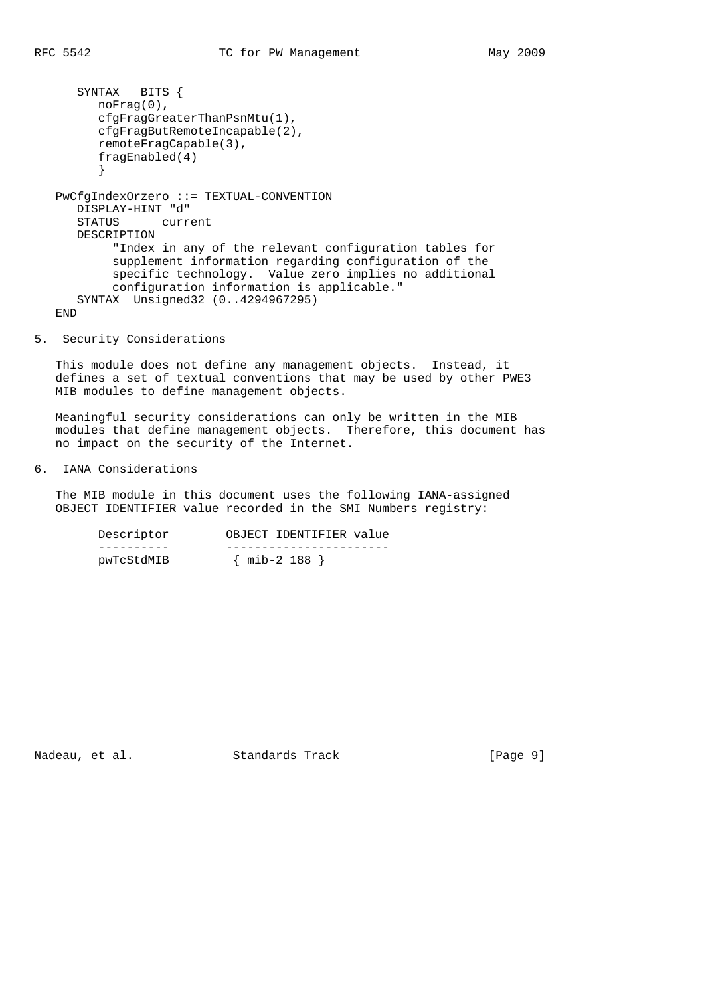```
 SYNTAX BITS {
     noFrag(0),
      cfgFragGreaterThanPsnMtu(1),
     cfgFragButRemoteIncapable(2),
      remoteFragCapable(3),
      fragEnabled(4)
      }
PwCfgIndexOrzero ::= TEXTUAL-CONVENTION
   DISPLAY-HINT "d"
   STATUS current
   DESCRIPTION
        "Index in any of the relevant configuration tables for
        supplement information regarding configuration of the
        specific technology. Value zero implies no additional
        configuration information is applicable."
   SYNTAX Unsigned32 (0..4294967295)
END
```
5. Security Considerations

 This module does not define any management objects. Instead, it defines a set of textual conventions that may be used by other PWE3 MIB modules to define management objects.

 Meaningful security considerations can only be written in the MIB modules that define management objects. Therefore, this document has no impact on the security of the Internet.

6. IANA Considerations

 The MIB module in this document uses the following IANA-assigned OBJECT IDENTIFIER value recorded in the SMI Numbers registry:

| Descriptor | OBJECT IDENTIFIER value |
|------------|-------------------------|
|            |                         |
| pwTcStdMIB | ${min-2 188}$           |

Nadeau, et al. Standards Track [Page 9]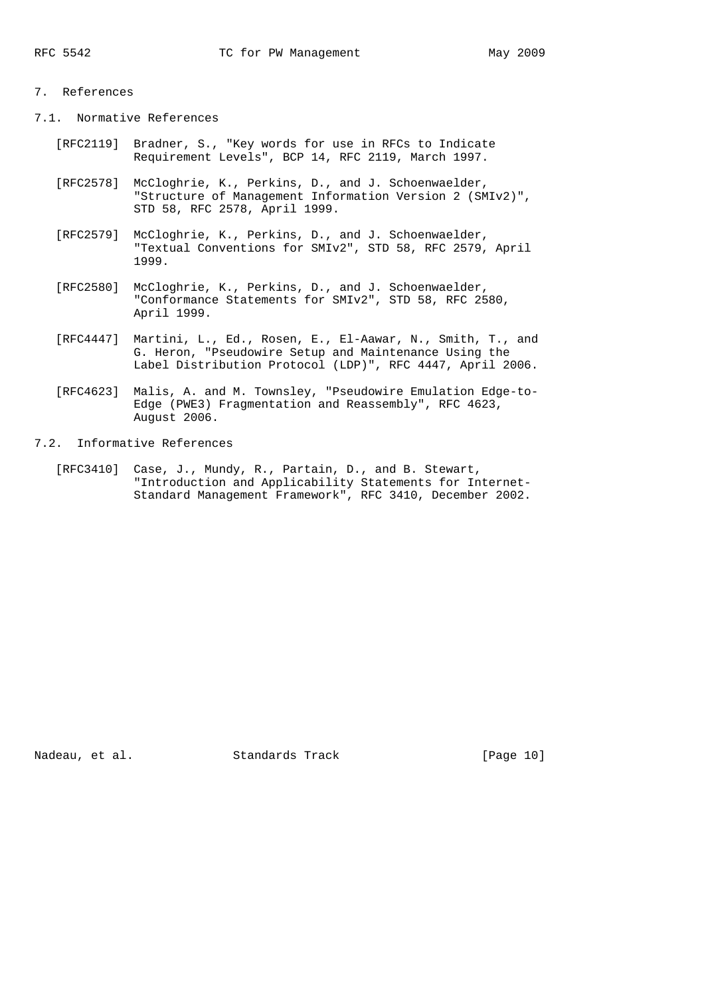# 7. References

7.1. Normative References

- [RFC2119] Bradner, S., "Key words for use in RFCs to Indicate Requirement Levels", BCP 14, RFC 2119, March 1997.
- [RFC2578] McCloghrie, K., Perkins, D., and J. Schoenwaelder, "Structure of Management Information Version 2 (SMIv2)", STD 58, RFC 2578, April 1999.
- [RFC2579] McCloghrie, K., Perkins, D., and J. Schoenwaelder, "Textual Conventions for SMIv2", STD 58, RFC 2579, April 1999.
- [RFC2580] McCloghrie, K., Perkins, D., and J. Schoenwaelder, "Conformance Statements for SMIv2", STD 58, RFC 2580, April 1999.
- [RFC4447] Martini, L., Ed., Rosen, E., El-Aawar, N., Smith, T., and G. Heron, "Pseudowire Setup and Maintenance Using the Label Distribution Protocol (LDP)", RFC 4447, April 2006.
- [RFC4623] Malis, A. and M. Townsley, "Pseudowire Emulation Edge-to- Edge (PWE3) Fragmentation and Reassembly", RFC 4623, August 2006.
- 7.2. Informative References
	- [RFC3410] Case, J., Mundy, R., Partain, D., and B. Stewart, "Introduction and Applicability Statements for Internet- Standard Management Framework", RFC 3410, December 2002.

Nadeau, et al. Standards Track [Page 10]